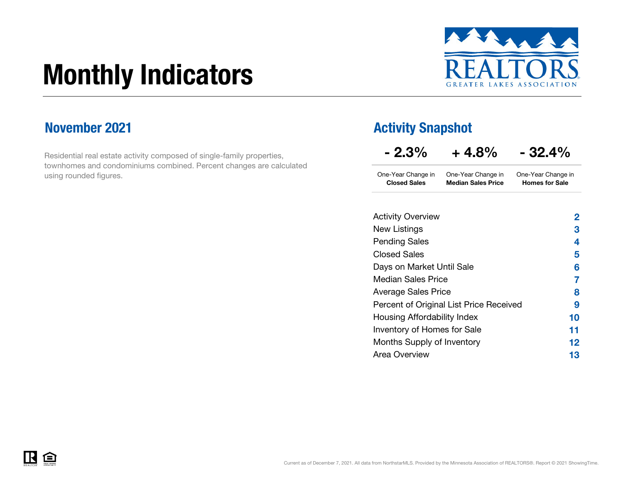# Monthly Indicators



## November 2021

Residential real estate activity composed of single-family properties, townhomes and condominiums combined. Percent changes are calculated using rounded figures.

## Activity Snapshot

| $-2.3%$                                   | $+4.8%$                                         | - 32.4%                                     |
|-------------------------------------------|-------------------------------------------------|---------------------------------------------|
| One-Year Change in<br><b>Closed Sales</b> | One-Year Change in<br><b>Median Sales Price</b> | One-Year Change in<br><b>Homes for Sale</b> |
|                                           |                                                 |                                             |
| <b>Activity Overview</b>                  |                                                 | 2                                           |
| New Listings                              |                                                 | 3                                           |
| <b>Pending Sales</b>                      |                                                 | 4                                           |
| <b>Closed Sales</b>                       |                                                 | 5                                           |
| Days on Market Until Sale                 |                                                 | 6                                           |
| Median Sales Price                        |                                                 | 7                                           |
| <b>Average Sales Price</b>                |                                                 | 8                                           |
|                                           | Percent of Original List Price Received         | 9                                           |
| Housing Affordability Index               |                                                 | 10                                          |
| <b>Inventory of Homes for Sale</b>        |                                                 | 11                                          |
| Months Supply of Inventory                |                                                 | 12                                          |
| Area Overview                             |                                                 | 13                                          |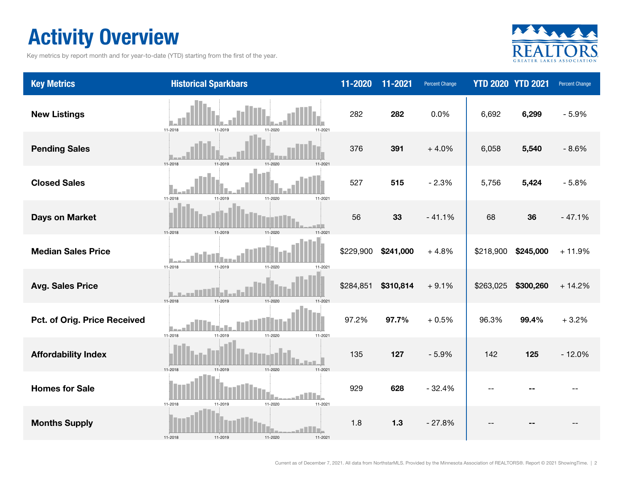# Activity Overview

Key metrics by report month and for year-to-date (YTD) starting from the first of the year.



| <b>Key Metrics</b>           | <b>Historical Sparkbars</b>                      | $11 - 2020$ | 11-2021   | <b>Percent Change</b> |           | <b>YTD 2020 YTD 2021</b> | <b>Percent Change</b> |
|------------------------------|--------------------------------------------------|-------------|-----------|-----------------------|-----------|--------------------------|-----------------------|
| <b>New Listings</b>          | 11-2018<br>11-2019<br>11-2020<br>11-2021         | 282         | 282       | 0.0%                  | 6,692     | 6,299                    | $-5.9%$               |
| <b>Pending Sales</b>         | 11-2018<br>11-2019<br>11-2020                    | 376         | 391       | $+4.0%$               | 6,058     | 5,540                    | $-8.6%$               |
| <b>Closed Sales</b>          | 11-2018<br>11-2019<br>11-2020<br>11-2021         | 527         | 515       | $-2.3%$               | 5,756     | 5,424                    | $-5.8%$               |
| <b>Days on Market</b>        | 11-2018<br>11-2019<br>11-2020<br>11-2021         | 56          | 33        | $-41.1%$              | 68        | 36                       | $-47.1%$              |
| <b>Median Sales Price</b>    | 11-2018<br>11-2019<br>11-2020<br>11-2021         | \$229,900   | \$241,000 | $+4.8%$               | \$218,900 | \$245,000                | $+11.9%$              |
| <b>Avg. Sales Price</b>      | 11-2018<br>11-2019<br>11-2020<br>11-2021         | \$284,851   | \$310,814 | $+9.1%$               | \$263,025 | \$300,260                | $+14.2%$              |
| Pct. of Orig. Price Received | 11-2018<br>11-2019<br>11-2020<br>11-2021         | 97.2%       | 97.7%     | $+0.5%$               | 96.3%     | 99.4%                    | $+3.2%$               |
| <b>Affordability Index</b>   | 11-2019<br>11-2020<br>11-2018<br>11-2021         | 135         | 127       | $-5.9%$               | 142       | 125                      | $-12.0%$              |
| <b>Homes for Sale</b>        | 11-2020<br>11-2018<br>11-2021<br>11-2019         | 929         | 628       | $-32.4%$              |           |                          |                       |
| <b>Months Supply</b>         | l vi<br>11-2018<br>11-2019<br>11-2020<br>11-2021 | 1.8         | $1.3$     | $-27.8%$              |           |                          |                       |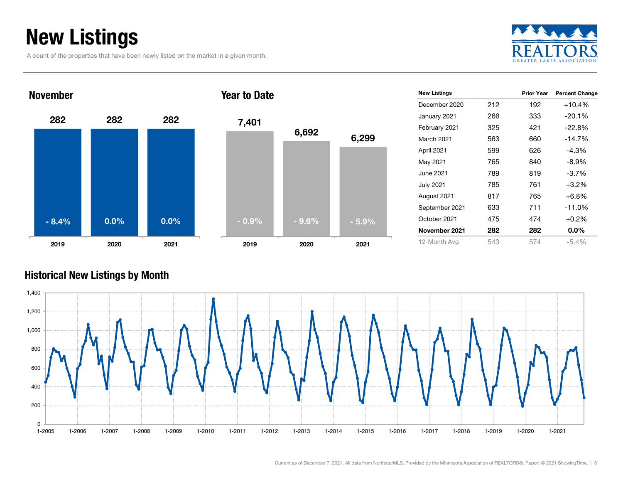# New Listings

A count of the properties that have been newly listed on the market in a given month.







| <b>New Listings</b> |     | <b>Prior Year</b> | <b>Percent Change</b> |
|---------------------|-----|-------------------|-----------------------|
| December 2020       | 212 | 192               | $+10.4%$              |
| January 2021        | 266 | 333               | $-20.1%$              |
| February 2021       | 325 | 421               | $-22.8%$              |
| March 2021          | 563 | 660               | $-14.7%$              |
| April 2021          | 599 | 626               | $-4.3%$               |
| May 2021            | 765 | 840               | $-8.9\%$              |
| June 2021           | 789 | 819               | $-3.7\%$              |
| <b>July 2021</b>    | 785 | 761               | $+3.2%$               |
| August 2021         | 817 | 765               | $+6.8\%$              |
| September 2021      | 633 | 711               | $-11.0%$              |
| October 2021        | 475 | 474               | $+0.2%$               |
| November 2021       | 282 | 282               | $0.0\%$               |
| 12-Month Avg        | 543 | 574               | $-5.4\%$              |

### Historical New Listings by Month

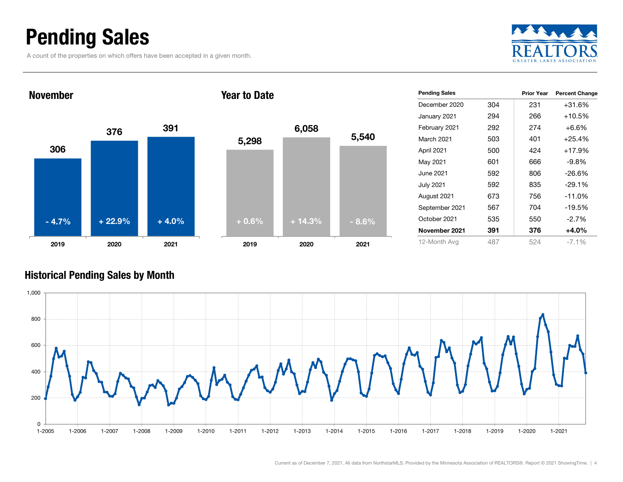## Pending Sales

A count of the properties on which offers have been accepted in a given month.



### 306376 <sup>391</sup> 2019 2020 2021 November5,298 2019Year to Date- 4.7% $+ 22.9\%$   $+ 4.0\%$   $+ 0.6\%$   $+ 14.3\%$   $- 8.6\%$



| <b>Pending Sales</b> |     | <b>Prior Year</b> | <b>Percent Change</b> |
|----------------------|-----|-------------------|-----------------------|
| December 2020        | 304 | 231               | $+31.6%$              |
| January 2021         | 294 | 266               | +10.5%                |
| February 2021        | 292 | 274               | $+6.6%$               |
| <b>March 2021</b>    | 503 | 401               | $+25.4%$              |
| April 2021           | 500 | 424               | $+17.9%$              |
| May 2021             | 601 | 666               | -9.8%                 |
| June 2021            | 592 | 806               | $-26.6%$              |
| July 2021            | 592 | 835               | $-29.1%$              |
| August 2021          | 673 | 756               | $-11.0%$              |
| September 2021       | 567 | 704               | $-19.5%$              |
| October 2021         | 535 | 550               | $-2.7%$               |
| November 2021        | 391 | 376               | $+4.0%$               |
| 12-Month Avg         | 487 | 524               | $-7.1\%$              |

#### Historical Pending Sales by Month

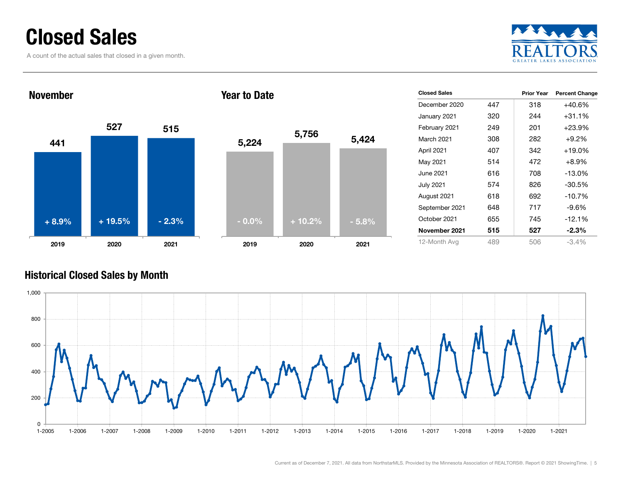## Closed Sales

A count of the actual sales that closed in a given month.





| <b>Closed Sales</b> |     | <b>Prior Year</b> | <b>Percent Change</b> |
|---------------------|-----|-------------------|-----------------------|
| December 2020       | 447 | 318               | +40.6%                |
| January 2021        | 320 | 244               | +31.1%                |
| February 2021       | 249 | 201               | $+23.9%$              |
| <b>March 2021</b>   | 308 | 282               | $+9.2%$               |
| April 2021          | 407 | 342               | $+19.0\%$             |
| May 2021            | 514 | 472               | $+8.9%$               |
| June 2021.          | 616 | 708               | $-13.0\%$             |
| <b>July 2021</b>    | 574 | 826               | $-30.5%$              |
| August 2021         | 618 | 692               | $-10.7%$              |
| September 2021      | 648 | 717               | $-9.6%$               |
| October 2021        | 655 | 745               | $-12.1%$              |
| November 2021       | 515 | 527               | $-2.3%$               |
| 12-Month Avg        | 489 | 506               | $-3.4\%$              |

### Historical Closed Sales by Month

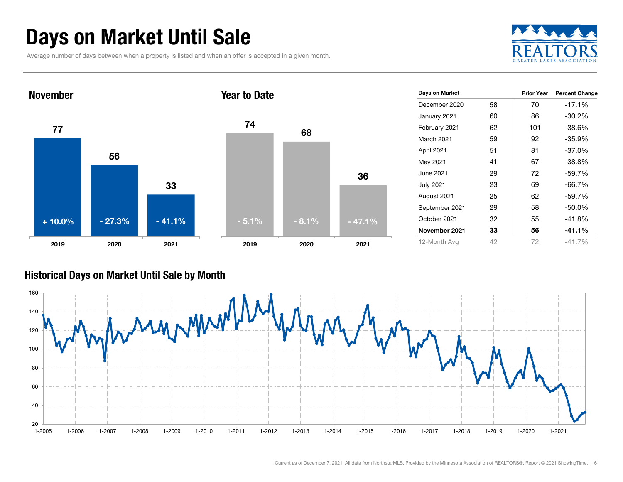# Days on Market Until Sale

Average number of days between when a property is listed and when an offer is accepted in a given month.





#### Historical Days on Market Until Sale by Month

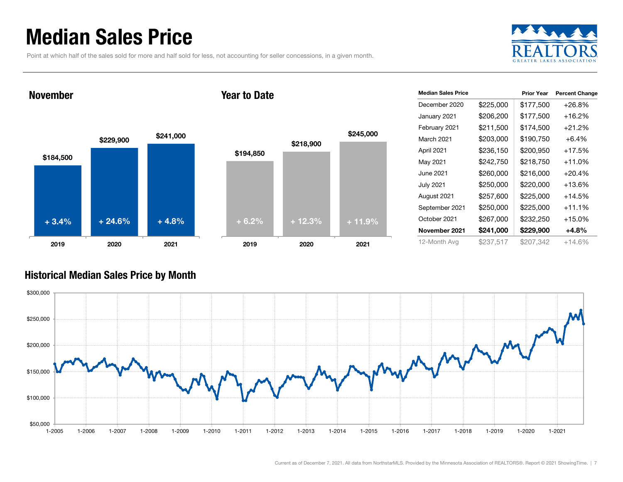## Median Sales Price

Point at which half of the sales sold for more and half sold for less, not accounting for seller concessions, in a given month.



November

#### Year to Date



| <b>Median Sales Price</b> |           | <b>Prior Year</b> | <b>Percent Change</b> |
|---------------------------|-----------|-------------------|-----------------------|
| December 2020             | \$225,000 | \$177,500         | $+26.8%$              |
| January 2021              | \$206,200 | \$177,500         | +16.2%                |
| February 2021             | \$211,500 | \$174,500         | $+21.2%$              |
| March 2021                | \$203,000 | \$190,750         | $+6.4%$               |
| April 2021                | \$236,150 | \$200,950         | +17.5%                |
| May 2021                  | \$242,750 | \$218,750         | $+11.0%$              |
| June 2021                 | \$260,000 | \$216,000         | $+20.4%$              |
| July 2021                 | \$250,000 | \$220,000         | $+13.6%$              |
| August 2021               | \$257,600 | \$225,000         | $+14.5%$              |
| September 2021            | \$250,000 | \$225,000         | $+11.1%$              |
| October 2021              | \$267,000 | \$232,250         | $+15.0%$              |
| November 2021             | \$241,000 | \$229,900         | +4.8%                 |
| 12-Month Avg              | \$237,517 | \$207,342         | $+14.6%$              |

#### Historical Median Sales Price by Month

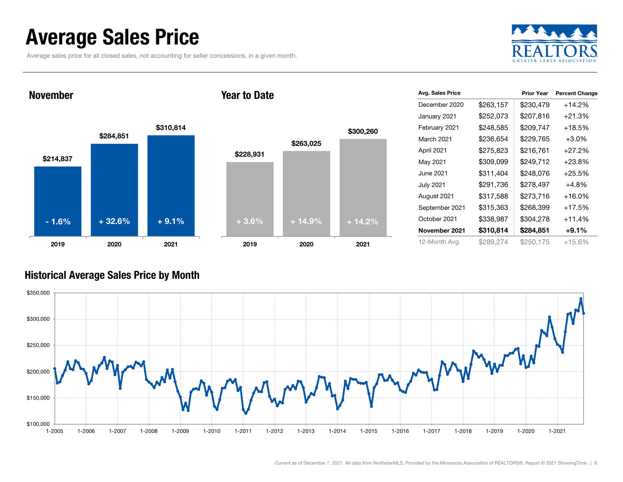## Average Sales Price

Average sales price for all closed sales, not accounting for seller concessions, in a given month.



November

#### Year to Date



| Avg. Sales Price  |           | <b>Prior Year</b> | <b>Percent Change</b> |
|-------------------|-----------|-------------------|-----------------------|
| December 2020     | \$263,157 | \$230,479         | $+14.2%$              |
| January 2021      | \$252,073 | \$207,816         | $+21.3%$              |
| February 2021     | \$248,585 | \$209,747         | $+18.5%$              |
| <b>March 2021</b> | \$236,654 | \$229,765         | $+3.0%$               |
| April 2021        | \$275,823 | \$216,761         | $+27.2%$              |
| May 2021          | \$309,099 | \$249,712         | $+23.8%$              |
| June 2021         | \$311,404 | \$248,076         | $+25.5%$              |
| <b>July 2021</b>  | \$291,736 | \$278,497         | $+4.8%$               |
| August 2021       | \$317,588 | \$273,716         | $+16.0\%$             |
| September 2021    | \$315,363 | \$268,399         | $+17.5%$              |
| October 2021      | \$338,987 | \$304,278         | $+11.4%$              |
| November 2021     | \$310,814 | \$284,851         | $+9.1%$               |
| 12-Month Avg      | \$289,274 | \$250,175         | $+15.6%$              |

#### Historical Average Sales Price by Month

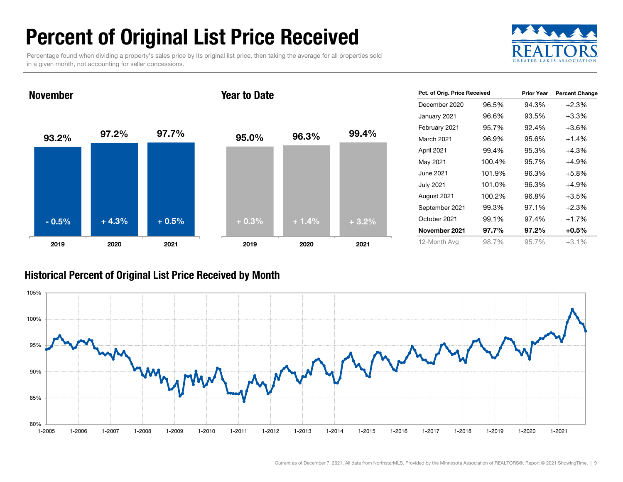# Percent of Original List Price Received

Percentage found when dividing a property's sales price by its original list price, then taking the average for all properties sold in a given month, not accounting for seller concessions.



93.2% 97.2% 97.7% 2019 2020 2021 November95.0% 96.3% 99.4% 2019 2020 2021 Year to Date- 0.5% $\%$  + 4.3% + 0.5% + 0.3% + 1.4% + 3.2%

| Pct. of Orig. Price Received |        | <b>Prior Year</b> | <b>Percent Change</b> |
|------------------------------|--------|-------------------|-----------------------|
| December 2020                | 96.5%  | 94.3%             | $+2.3%$               |
| January 2021                 | 96.6%  | 93.5%             | $+3.3%$               |
| February 2021                | 95.7%  | 92.4%             | $+3.6%$               |
| March 2021                   | 96.9%  | 95.6%             | $+1.4%$               |
| April 2021                   | 99.4%  | 95.3%             | $+4.3%$               |
| May 2021                     | 100.4% | 95.7%             | +4.9%                 |
| June 2021                    | 101.9% | 96.3%             | $+5.8%$               |
| <b>July 2021</b>             | 101.0% | 96.3%             | $+4.9%$               |
| August 2021                  | 100.2% | 96.8%             | $+3.5%$               |
| September 2021               | 99.3%  | 97.1%             | $+2.3%$               |
| October 2021                 | 99.1%  | 97.4%             | $+1.7%$               |
| November 2021                | 97.7%  | 97.2%             | $+0.5%$               |
| 12-Month Avg                 | 98.7%  | 95.7%             | $+3.1%$               |

#### Historical Percent of Original List Price Received by Month

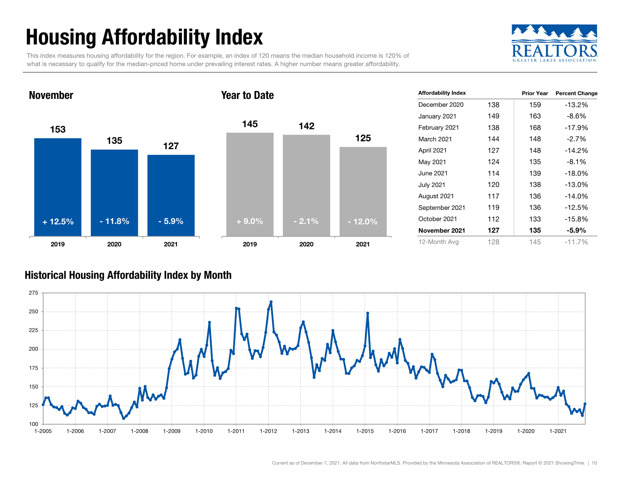# Housing Affordability Index

This index measures housing affordability for the region. For example, an index of 120 means the median household income is 120% of what is necessary to qualify for the median-priced home under prevailing interest rates. A higher number means greater affordability.



#### 153135 1272019 2020 2021 November145 1421252019 2020 2021 Year to Date+ 12.5% $\%$  - 11.8% - 5.9% + 9.0% - 2.1% - 12.0%

| <b>Affordability Index</b> |     | <b>Prior Year</b> | <b>Percent Change</b> |
|----------------------------|-----|-------------------|-----------------------|
| December 2020              | 138 | 159               | -13.2%                |
| January 2021               | 149 | 163               | $-8.6%$               |
| February 2021              | 138 | 168               | $-17.9%$              |
| <b>March 2021</b>          | 144 | 148               | $-2.7%$               |
| April 2021                 | 127 | 148               | -14.2%                |
| May 2021                   | 124 | 135               | $-8.1%$               |
| June 2021                  | 114 | 139               | $-18.0\%$             |
| <b>July 2021</b>           | 120 | 138               | $-13.0%$              |
| August 2021                | 117 | 136               | $-14.0\%$             |
| September 2021             | 119 | 136               | $-12.5%$              |
| October 2021               | 112 | 133               | -15.8%                |
| November 2021              | 127 | 135               | $-5.9\%$              |
| 12-Month Avg               | 128 | 145               | $-11.7%$              |

#### Historical Housing Affordability Index by Mont h

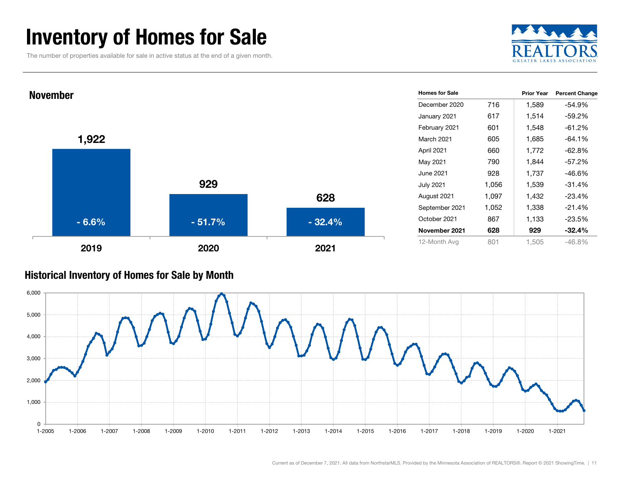## Inventory of Homes for Sale

The number of properties available for sale in active status at the end of a given month.





#### Historical Inventory of Homes for Sale by Month

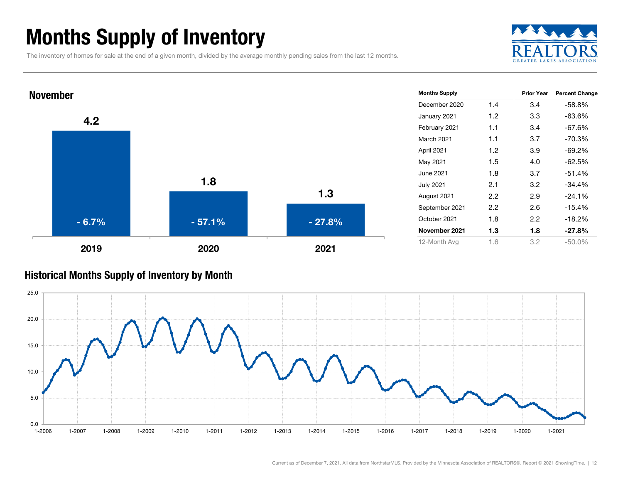## Months Supply of Inventory

The inventory of homes for sale at the end of a given month, divided by the average monthly pending sales from the last 12 months.





#### Historical Months Supply of Inventory by Month